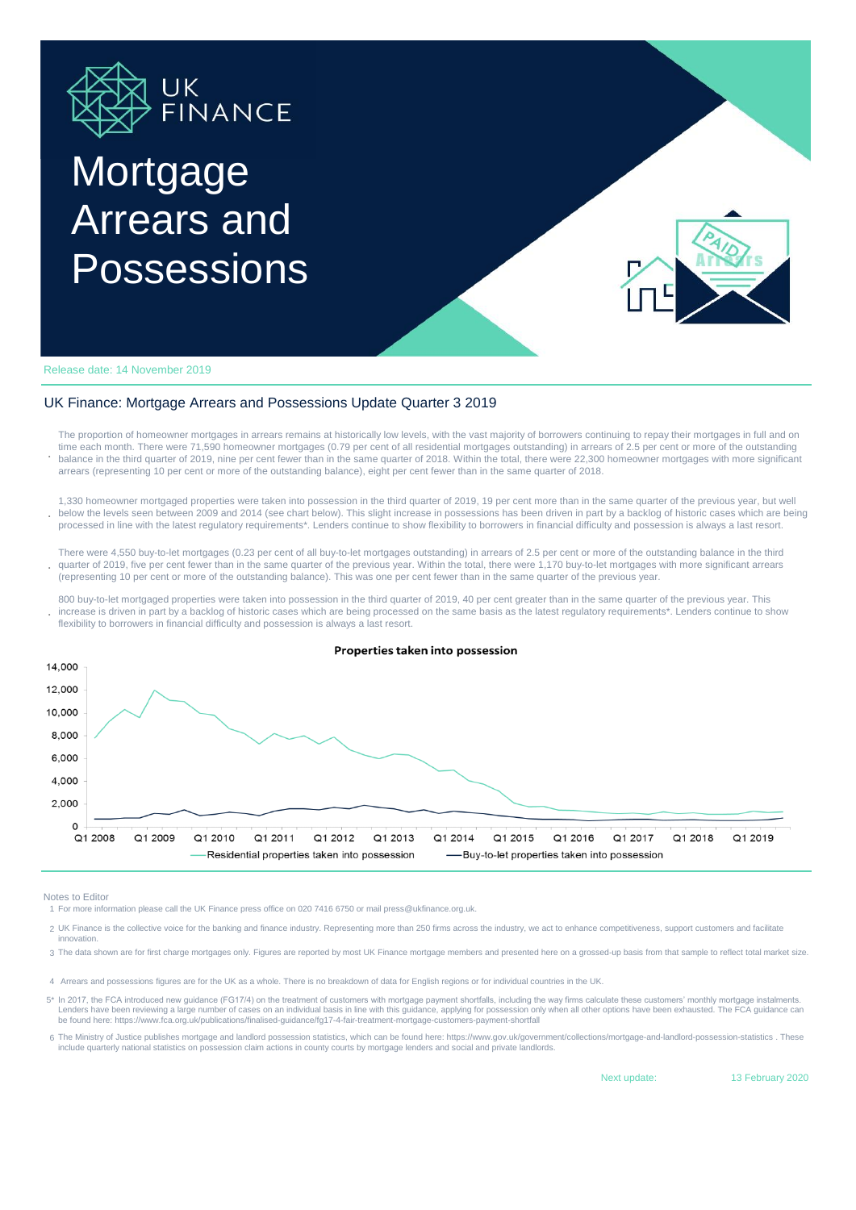

## **Mortgage** Arrears and Possessions



Release date: 14 November 2019

## UK Finance: Mortgage Arrears and Possessions Update Quarter 3 2019

**.** The proportion of homeowner mortgages in arrears remains at historically low levels, with the vast majority of borrowers continuing to repay their mortgages in full and on time each month. There were 71,590 homeowner mortgages (0.79 per cent of all residential mortgages outstanding) in arrears of 2.5 per cent or more of the outstanding balance in the third quarter of 2019, nine per cent fewer than in the same quarter of 2018. Within the total, there were 22,300 homeowner mortgages with more significant arrears (representing 10 per cent or more of the outstanding balance), eight per cent fewer than in the same quarter of 2018.

**.** 1,330 homeowner mortgaged properties were taken into possession in the third quarter of 2019, 19 per cent more than in the same quarter of the previous year, but well below the levels seen between 2009 and 2014 (see chart below). This slight increase in possessions has been driven in part by a backlog of historic cases which are being processed in line with the latest regulatory requirements\*. Lenders continue to show flexibility to borrowers in financial difficulty and possession is always a last resort.

**.** There were 4,550 buy-to-let mortgages (0.23 per cent of all buy-to-let mortgages outstanding) in arrears of 2.5 per cent or more of the outstanding balance in the third quarter of 2019, five per cent fewer than in the same quarter of the previous year. Within the total, there were 1,170 buy-to-let mortgages with more significant arrears (representing 10 per cent or more of the outstanding balance). This was one per cent fewer than in the same quarter of the previous year.

**.** 800 buy-to-let mortgaged properties were taken into possession in the third quarter of 2019, 40 per cent greater than in the same quarter of the previous year. This increase is driven in part by a backlog of historic cases which are being processed on the same basis as the latest regulatory requirements\*. Lenders continue to show flexibility to borrowers in financial difficulty and possession is always a last resort.



Notes to Editor

1 For more information please call the UK Finance press office on 020 7416 6750 or mail press@ukfinance.org.uk.

- 2 UK Finance is the collective voice for the banking and finance industry. Representing more than 250 firms across the industry, we act to enhance competitiveness, support customers and facilitate innovation.
- 3 The data shown are for first charge mortgages only. Figures are reported by most UK Finance mortgage members and presented here on a grossed-up basis from that sample to reflect total market size.
- 4 Arrears and possessions figures are for the UK as a whole. There is no breakdown of data for English regions or for individual countries in the UK.
- 5\* In 2017, the FCA introduced new guidance (FG17/4) on the treatment of customers with mortgage payment shortfalls, including the way firms calculate these customers' monthly mortg Lenders have been reviewing a large number of cases on an individual basis in line with this guidance, applying for possession only when all other options have been exhausted. The FCA guidance can be found here: https://www.fca.org.uk/publications/finalised-guidance/fg17-4-fair-treatment-mortgage-customers-payment-shortfall
- 6 The Ministry of Justice publishes mortgage and landlord possession statistics, which can be found here: https://www.gov.uk/government/collections/mortgage-and-landlord-possession-statistics . These include quarterly national statistics on possession claim actions in county courts by mortgage lenders and social and private landlords.

Next update:

13 February 2020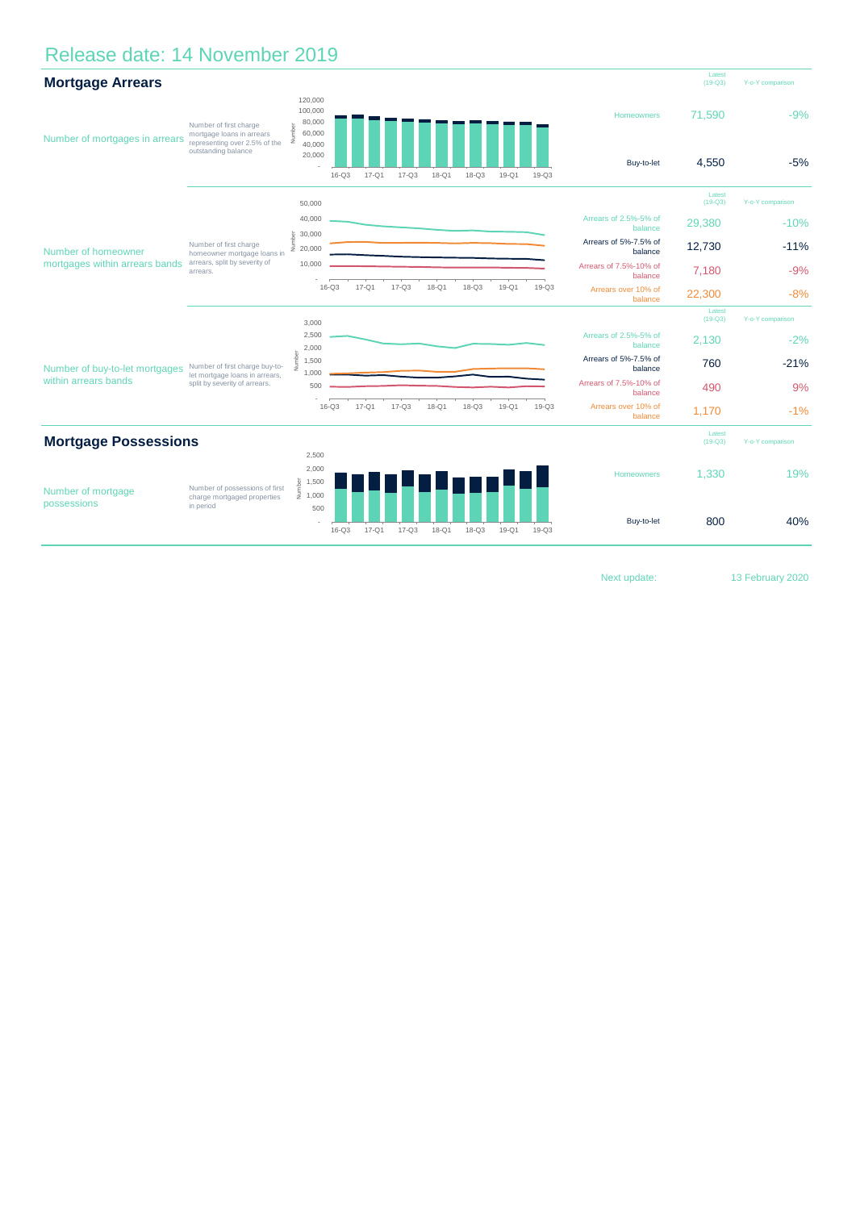## Release date: 14 November 2019

| <b>Mortgage Arrears</b>                                |                                                                                                             |                                                                      |           |           |           |           |           |           |           |                                   | Latest<br>$(19-Q3)$ | Y-o-Y comparison |
|--------------------------------------------------------|-------------------------------------------------------------------------------------------------------------|----------------------------------------------------------------------|-----------|-----------|-----------|-----------|-----------|-----------|-----------|-----------------------------------|---------------------|------------------|
| Number of mortgages in arrears                         | Number of first charge<br>mortgage loans in arrears<br>representing over 2.5% of the<br>outstanding balance | 120,000<br>100,000<br>80,000<br>Number<br>60,000<br>40,000<br>20,000 | $16 - Q3$ | 17-Q1     | $17 - Q3$ | 18-Q1     | $18 - Q3$ | 19-Q1     | $19-Q3$   | Homeowners<br>Buy-to-let          | 71,590<br>4.550     | $-9%$<br>$-5%$   |
| Number of homeowner<br>mortgages within arrears bands  | Number of first charge<br>homeowner mortgage loans in<br>arrears, split by severity of<br>arrears.          | 50,000                                                               |           |           |           |           |           |           |           |                                   | Latest<br>$(19-Q3)$ | Y-o-Y comparison |
|                                                        |                                                                                                             | 40,000                                                               |           |           |           |           |           |           |           | Arrears of 2.5%-5% of<br>balance  | 29,380              | $-10%$           |
|                                                        |                                                                                                             | 30,000<br>j<br>B<br>20,000                                           |           |           |           |           |           |           |           | Arrears of 5%-7.5% of<br>balance  | 12,730              | $-11%$           |
|                                                        |                                                                                                             | 10,000                                                               |           |           |           |           |           |           |           | Arrears of 7.5%-10% of<br>balance | 7,180               | $-9%$            |
|                                                        |                                                                                                             |                                                                      | $16 - Q3$ | $17 - Q1$ | $17-Q3$   | $18-Q1$   | $18 - Q3$ | $19-Q1$   | $19-Q3$   | Arrears over 10% of<br>balance    | 22,300              | $-8%$            |
|                                                        |                                                                                                             | 3,000                                                                |           |           |           |           |           |           |           |                                   | Latest<br>$(19-Q3)$ | Y-o-Y comparison |
| Number of buy-to-let mortgages<br>within arrears bands | Number of first charge buy-to-<br>let mortgage loans in arrears,<br>split by severity of arrears.           | 2,500<br>2,000                                                       |           |           |           |           |           |           |           | Arrears of 2.5%-5% of<br>balance  | 2.130               | $-2%$            |
|                                                        |                                                                                                             | Vumber<br>1,500                                                      |           |           |           |           |           |           |           | Arrears of 5%-7.5% of<br>balance  | 760                 | $-21%$           |
|                                                        |                                                                                                             | 1,000<br>500                                                         |           |           |           |           |           |           |           | Arrears of 7.5%-10% of<br>balance | 490                 | 9%               |
|                                                        |                                                                                                             |                                                                      | $16 - Q3$ | $17 - Q1$ | $17 - Q3$ | $18-Q1$   | $18 - Q3$ | $19-Q1$   | $19-Q3$   | Arrears over 10% of<br>balance    | 1,170               | $-1%$            |
| <b>Mortgage Possessions</b>                            |                                                                                                             |                                                                      |           |           |           |           |           |           |           | Latest<br>$(19-Q3)$               | Y-o-Y comparison    |                  |
| Number of mortgage<br>possessions                      | Number of possessions of first<br>charge mortgaged properties<br>in period                                  | 2,500                                                                |           |           |           |           |           |           |           |                                   |                     |                  |
|                                                        |                                                                                                             | 2,000<br>$\frac{5}{2}$ 1,500<br>$\frac{1}{2}$ 1,000                  |           |           |           |           |           |           |           | Homeowners                        | 1,330               | 19%              |
|                                                        |                                                                                                             | 500                                                                  | $16 - Q3$ | $17 - Q1$ | $17 - Q3$ | $18 - Q1$ | $18 - Q3$ | $19 - Q1$ | $19 - Q3$ | Buy-to-let                        | 800                 | 40%              |

Next update: 13 February 2020